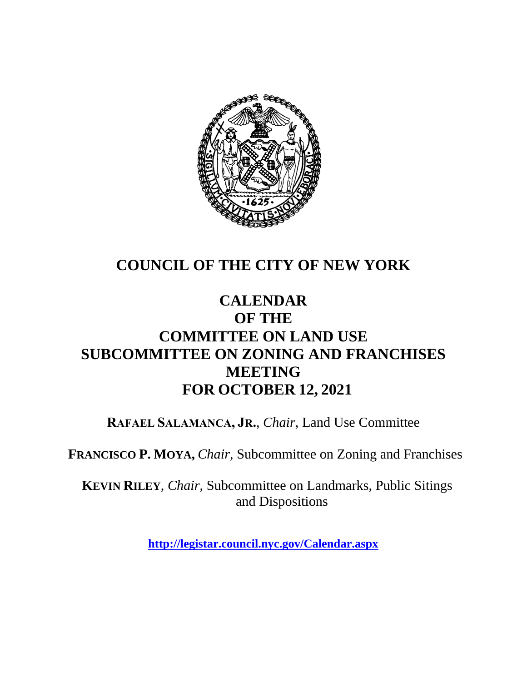

# **COUNCIL OF THE CITY OF NEW YORK**

# **CALENDAR OF THE COMMITTEE ON LAND USE SUBCOMMITTEE ON ZONING AND FRANCHISES MEETING FOR OCTOBER 12, 2021**

**RAFAEL SALAMANCA, JR.**, *Chair*, Land Use Committee

**FRANCISCO P. MOYA,** *Chair,* Subcommittee on Zoning and Franchises

**KEVIN RILEY**, *Chair*, Subcommittee on Landmarks, Public Sitings and Dispositions

**<http://legistar.council.nyc.gov/Calendar.aspx>**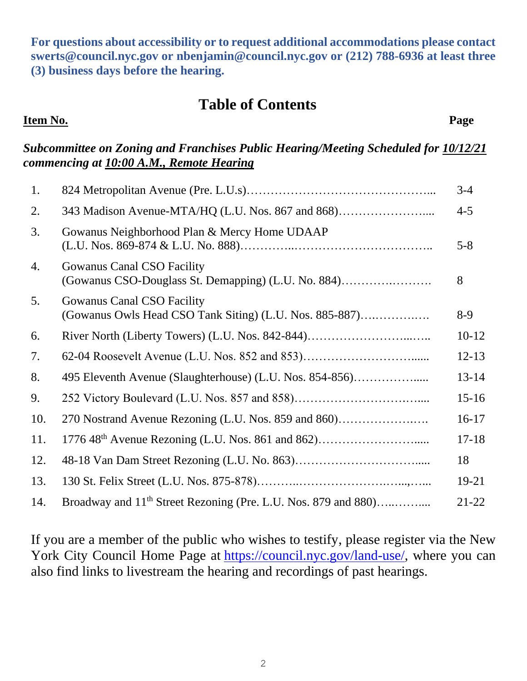**For questions about accessibility or to request additional accommodations please contact [swerts@council.nyc.gov](mailto:swerts@council.nyc.gov) or [nbenjamin@council.nyc.gov](mailto:nbenjamin@council.nyc.gov) or (212) 788-6936 at least three (3) business days before the hearing.**

#### **Table of Contents**

#### **Item No. Page**

#### *Subcommittee on Zoning and Franchises Public Hearing/Meeting Scheduled for 10/12/21 commencing at 10:00 A.M., Remote Hearing*

| 1.  |                                                                                              | $3 - 4$   |
|-----|----------------------------------------------------------------------------------------------|-----------|
| 2.  | 343 Madison Avenue-MTA/HQ (L.U. Nos. 867 and 868)                                            | $4 - 5$   |
| 3.  | Gowanus Neighborhood Plan & Mercy Home UDAAP                                                 | $5 - 8$   |
| 4.  | <b>Gowanus Canal CSO Facility</b><br>(Gowanus CSO-Douglass St. Demapping) (L.U. No. 884)     | 8         |
| 5.  | <b>Gowanus Canal CSO Facility</b><br>(Gowanus Owls Head CSO Tank Siting) (L.U. Nos. 885-887) | $8-9$     |
| 6.  | River North (Liberty Towers) (L.U. Nos. 842-844)                                             | $10-12$   |
| 7.  | 62-04 Roosevelt Avenue (L.U. Nos. 852 and 853)                                               | $12 - 13$ |
| 8.  | 495 Eleventh Avenue (Slaughterhouse) (L.U. Nos. 854-856)                                     | $13 - 14$ |
| 9.  |                                                                                              | $15 - 16$ |
| 10. | 270 Nostrand Avenue Rezoning (L.U. Nos. 859 and 860)                                         | $16-17$   |
| 11. |                                                                                              | $17 - 18$ |
| 12. |                                                                                              | 18        |
| 13. |                                                                                              | 19-21     |
| 14. | Broadway and 11 <sup>th</sup> Street Rezoning (Pre. L.U. Nos. 879 and 880)                   | $21 - 22$ |

If you are a member of the public who wishes to testify, please register via the New York City Council Home Page at [https://council.nyc.gov/land-use/,](https://council.nyc.gov/land-use/) where you can also find links to livestream the hearing and recordings of past hearings.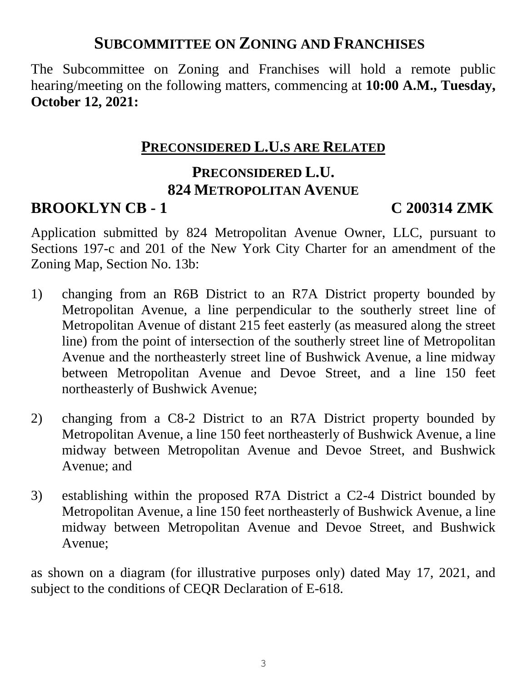### **SUBCOMMITTEE ON ZONING AND FRANCHISES**

The Subcommittee on Zoning and Franchises will hold a remote public hearing/meeting on the following matters, commencing at **10:00 A.M., Tuesday, October 12, 2021:**

#### **PRECONSIDERED L.U.S ARE RELATED**

#### **PRECONSIDERED L.U. 824 METROPOLITAN AVENUE**

### **BROOKLYN CB - 1 C 200314 ZMK**

Application submitted by 824 Metropolitan Avenue Owner, LLC, pursuant to Sections 197-c and 201 of the New York City Charter for an amendment of the Zoning Map, Section No. 13b:

- 1) changing from an R6B District to an R7A District property bounded by Metropolitan Avenue, a line perpendicular to the southerly street line of Metropolitan Avenue of distant 215 feet easterly (as measured along the street line) from the point of intersection of the southerly street line of Metropolitan Avenue and the northeasterly street line of Bushwick Avenue, a line midway between Metropolitan Avenue and Devoe Street, and a line 150 feet northeasterly of Bushwick Avenue;
- 2) changing from a C8-2 District to an R7A District property bounded by Metropolitan Avenue, a line 150 feet northeasterly of Bushwick Avenue, a line midway between Metropolitan Avenue and Devoe Street, and Bushwick Avenue; and
- 3) establishing within the proposed R7A District a C2-4 District bounded by Metropolitan Avenue, a line 150 feet northeasterly of Bushwick Avenue, a line midway between Metropolitan Avenue and Devoe Street, and Bushwick Avenue;

as shown on a diagram (for illustrative purposes only) dated May 17, 2021, and subject to the conditions of CEQR Declaration of E-618.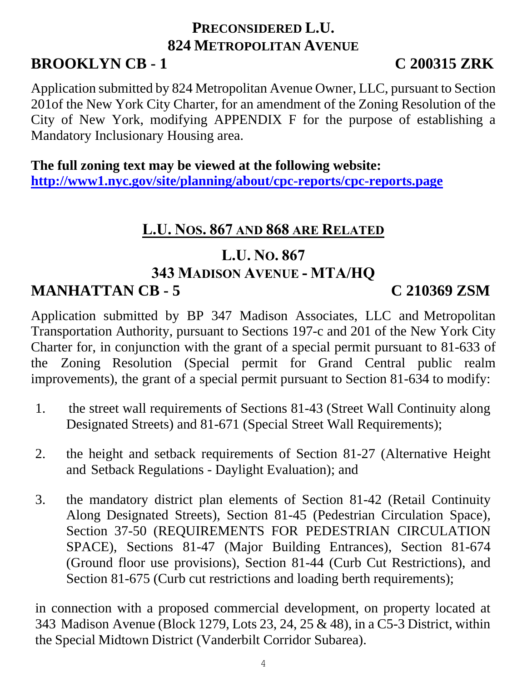#### **PRECONSIDERED L.U. 824 METROPOLITAN AVENUE BROOKLYN CB - 1 C 200315 ZRK**

Application submitted by 824 Metropolitan Avenue Owner, LLC, pursuant to Section 201of the New York City Charter, for an amendment of the Zoning Resolution of the City of New York, modifying APPENDIX F for the purpose of establishing a Mandatory Inclusionary Housing area.

**The full zoning text may be viewed at the following website: <http://www1.nyc.gov/site/planning/about/cpc-reports/cpc-reports.page>**

# **L.U. NOS. 867 AND 868 ARE RELATED**

### **L.U. NO. 867 343 MADISON AVENUE - MTA/HQ MANHATTAN CB - 5 C 210369 ZSM**

#### Application submitted by BP 347 Madison Associates, LLC and Metropolitan Transportation Authority, pursuant to Sections 197-c and 201 of the New York City Charter for, in conjunction with the grant of a special permit pursuant to 81-633 of the Zoning Resolution (Special permit for Grand Central public realm improvements), the grant of a special permit pursuant to Section 81-634 to modify:

- 1. the street wall requirements of Sections 81-43 (Street Wall Continuity along Designated Streets) and 81-671 (Special Street Wall Requirements);
- 2. the height and setback requirements of Section 81-27 (Alternative Height and Setback Regulations - Daylight Evaluation); and
- 3. the mandatory district plan elements of Section 81-42 (Retail Continuity Along Designated Streets), Section 81-45 (Pedestrian Circulation Space), Section 37-50 (REQUIREMENTS FOR PEDESTRIAN CIRCULATION SPACE), Sections 81-47 (Major Building Entrances), Section 81-674 (Ground floor use provisions), Section 81-44 (Curb Cut Restrictions), and Section 81-675 (Curb cut restrictions and loading berth requirements);

in connection with a proposed commercial development, on property located at 343 Madison Avenue (Block 1279, Lots 23, 24, 25 & 48), in a C5-3 District, within the Special Midtown District (Vanderbilt Corridor Subarea).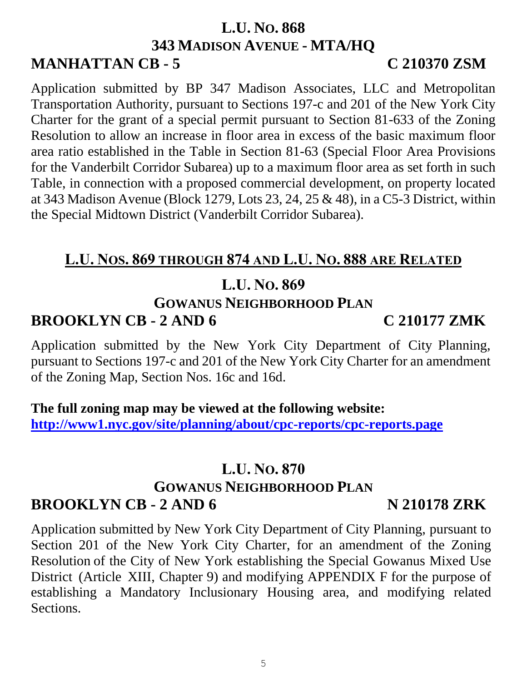#### **L.U. NO. 868 343 MADISON AVENUE - MTA/HQ MANHATTAN CB - 5 C 210370 ZSM**

Application submitted by BP 347 Madison Associates, LLC and Metropolitan Transportation Authority, pursuant to Sections 197-c and 201 of the New York City Charter for the grant of a special permit pursuant to Section 81-633 of the Zoning Resolution to allow an increase in floor area in excess of the basic maximum floor area ratio established in the Table in Section 81-63 (Special Floor Area Provisions for the Vanderbilt Corridor Subarea) up to a maximum floor area as set forth in such Table, in connection with a proposed commercial development, on property located at 343 Madison Avenue (Block 1279, Lots 23, 24, 25 & 48), in a C5-3 District, within the Special Midtown District (Vanderbilt Corridor Subarea).

### **L.U. NOS. 869 THROUGH 874 AND L.U. NO. 888 ARE RELATED**

#### **L.U. NO. 869**

#### **GOWANUS NEIGHBORHOOD PLAN**

### **BROOKLYN CB - 2 AND 6 C 210177 ZMK**

Application submitted by the New York City Department of City Planning, pursuant to Sections 197-c and 201 of the New York City Charter for an amendment of the Zoning Map, Section Nos. 16c and 16d.

#### **The full zoning map may be viewed at the following website: <http://www1.nyc.gov/site/planning/about/cpc-reports/cpc-reports.page>**

#### **L.U. NO. 870**

## **GOWANUS NEIGHBORHOOD PLAN BROOKLYN CB - 2 AND 6 N 210178 ZRK**

Application submitted by New York City Department of City Planning, pursuant to Section 201 of the New York City Charter, for an amendment of the Zoning Resolution of the City of New York establishing the Special Gowanus Mixed Use District (Article XIII, Chapter 9) and modifying APPENDIX F for the purpose of establishing a Mandatory Inclusionary Housing area, and modifying related Sections.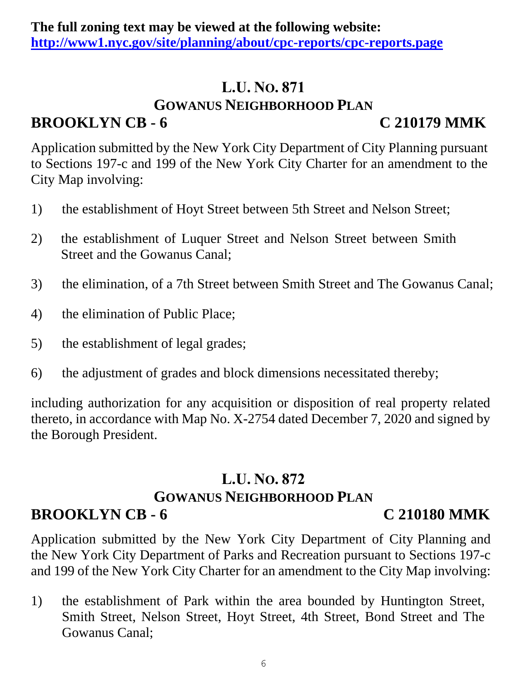#### **L.U. NO. 871 GOWANUS NEIGHBORHOOD PLAN BROOKLYN CB - 6 C 210179 MMK**

Application submitted by the New York City Department of City Planning pursuant to Sections 197-c and 199 of the New York City Charter for an amendment to the City Map involving:

- 1) the establishment of Hoyt Street between 5th Street and Nelson Street;
- 2) the establishment of Luquer Street and Nelson Street between Smith Street and the Gowanus Canal;
- 3) the elimination, of a 7th Street between Smith Street and The Gowanus Canal;
- 4) the elimination of Public Place;
- 5) the establishment of legal grades;
- 6) the adjustment of grades and block dimensions necessitated thereby;

including authorization for any acquisition or disposition of real property related thereto, in accordance with Map No. X-2754 dated December 7, 2020 and signed by the Borough President.

#### **L.U. NO. 872 GOWANUS NEIGHBORHOOD PLAN BROOKLYN CB - 6 C 210180 MMK**

Application submitted by the New York City Department of City Planning and the New York City Department of Parks and Recreation pursuant to Sections 197-c and 199 of the New York City Charter for an amendment to the City Map involving:

1) the establishment of Park within the area bounded by Huntington Street, Smith Street, Nelson Street, Hoyt Street, 4th Street, Bond Street and The Gowanus Canal;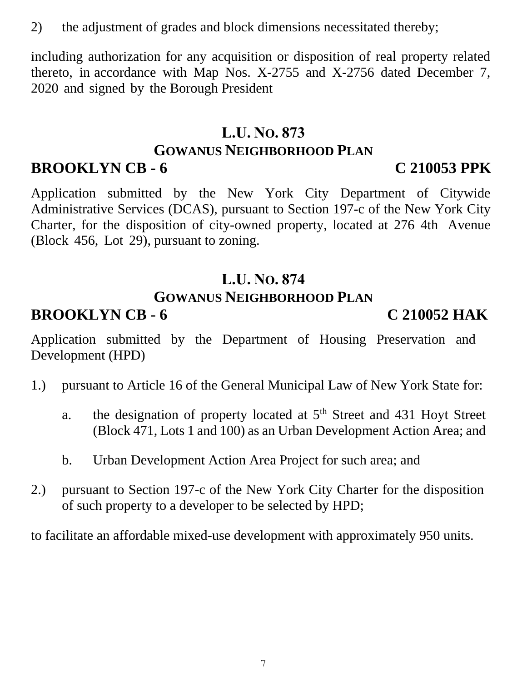2) the adjustment of grades and block dimensions necessitated thereby;

including authorization for any acquisition or disposition of real property related thereto, in accordance with Map Nos. X-2755 and X-2756 dated December 7, 2020 and signed by the Borough President

# **L.U. NO. 873 GOWANUS NEIGHBORHOOD PLAN**

## **BROOKLYN CB - 6 C 210053 PPK**

Application submitted by the New York City Department of Citywide Administrative Services (DCAS), pursuant to Section 197-c of the New York City Charter, for the disposition of city-owned property, located at 276 4th Avenue (Block 456, Lot 29), pursuant to zoning.

# **L.U. NO. 874**

# **GOWANUS NEIGHBORHOOD PLAN**

# **BROOKLYN CB - 6 C 210052 HAK**

Application submitted by the Department of Housing Preservation and Development (HPD)

- 1.) pursuant to Article 16 of the General Municipal Law of New York State for:
	- a. the designation of property located at  $5<sup>th</sup>$  Street and 431 Hoyt Street (Block 471, Lots 1 and 100) as an Urban Development Action Area; and
	- b. Urban Development Action Area Project for such area; and
- 2.) pursuant to Section 197-c of the New York City Charter for the disposition of such property to a developer to be selected by HPD;

to facilitate an affordable mixed-use development with approximately 950 units.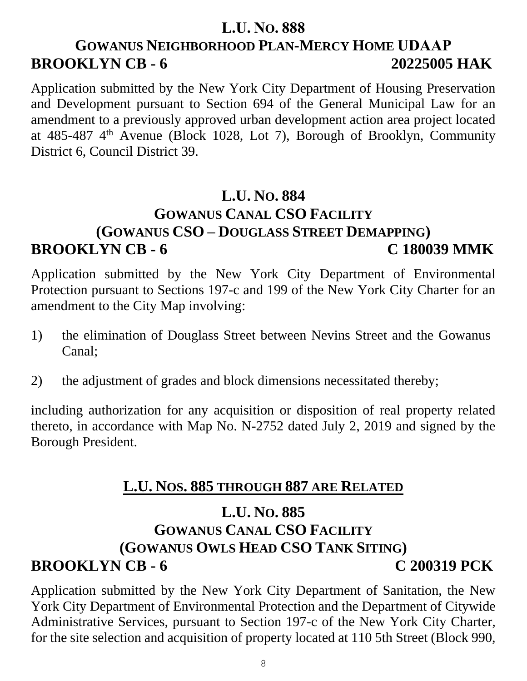# **GOWANUS NEIGHBORHOOD PLAN-MERCY HOME UDAAP BROOKLYN CB - 6 20225005 HAK**

Application submitted by the New York City Department of Housing Preservation and Development pursuant to Section 694 of the General Municipal Law for an amendment to a previously approved urban development action area project located at  $485-487$  4<sup>th</sup> Avenue (Block 1028, Lot 7), Borough of Brooklyn, Community District 6, Council District 39.

## **L.U. NO. 884 GOWANUS CANAL CSO FACILITY (GOWANUS CSO – DOUGLASS STREET DEMAPPING) BROOKLYN CB - 6 C 180039 MMK**

Application submitted by the New York City Department of Environmental Protection pursuant to Sections 197-c and 199 of the New York City Charter for an amendment to the City Map involving:

- 1) the elimination of Douglass Street between Nevins Street and the Gowanus Canal;
- 2) the adjustment of grades and block dimensions necessitated thereby;

including authorization for any acquisition or disposition of real property related thereto, in accordance with Map No. N-2752 dated July 2, 2019 and signed by the Borough President.

## **L.U. NOS. 885 THROUGH 887 ARE RELATED**

# **L.U. NO. 885 GOWANUS CANAL CSO FACILITY (GOWANUS OWLS HEAD CSO TANK SITING) BROOKLYN CB - 6 C 200319 PCK**

Application submitted by the New York City Department of Sanitation, the New York City Department of Environmental Protection and the Department of Citywide Administrative Services, pursuant to Section 197-c of the New York City Charter, for the site selection and acquisition of property located at 110 5th Street (Block 990,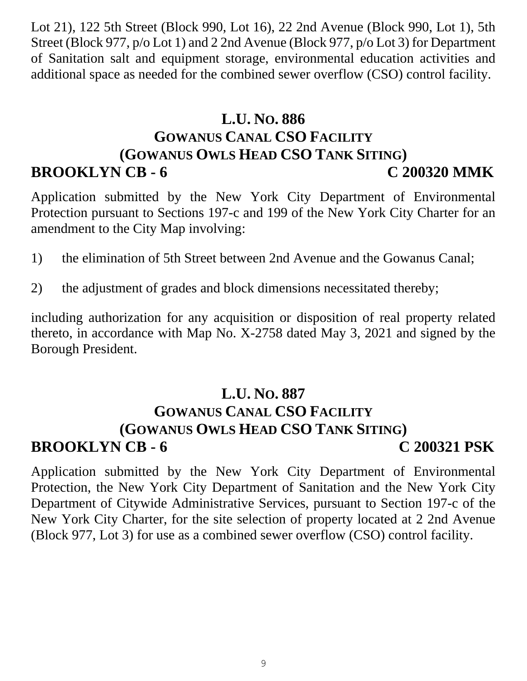Lot 21), 122 5th Street (Block 990, Lot 16), 22 2nd Avenue (Block 990, Lot 1), 5th Street (Block 977, p/o Lot 1) and 2 2nd Avenue (Block 977, p/o Lot 3) for Department of Sanitation salt and equipment storage, environmental education activities and additional space as needed for the combined sewer overflow (CSO) control facility.

## **L.U. NO. 886 GOWANUS CANAL CSO FACILITY (GOWANUS OWLS HEAD CSO TANK SITING) BROOKLYN CB - 6 C 200320 MMK**

Application submitted by the New York City Department of Environmental Protection pursuant to Sections 197-c and 199 of the New York City Charter for an amendment to the City Map involving:

- 1) the elimination of 5th Street between 2nd Avenue and the Gowanus Canal;
- 2) the adjustment of grades and block dimensions necessitated thereby;

including authorization for any acquisition or disposition of real property related thereto, in accordance with Map No. X-2758 dated May 3, 2021 and signed by the Borough President.

## **L.U. NO. 887 GOWANUS CANAL CSO FACILITY (GOWANUS OWLS HEAD CSO TANK SITING) BROOKLYN CB - 6 C 200321 PSK**

Application submitted by the New York City Department of Environmental Protection, the New York City Department of Sanitation and the New York City Department of Citywide Administrative Services, pursuant to Section 197-c of the New York City Charter, for the site selection of property located at 2 2nd Avenue (Block 977, Lot 3) for use as a combined sewer overflow (CSO) control facility.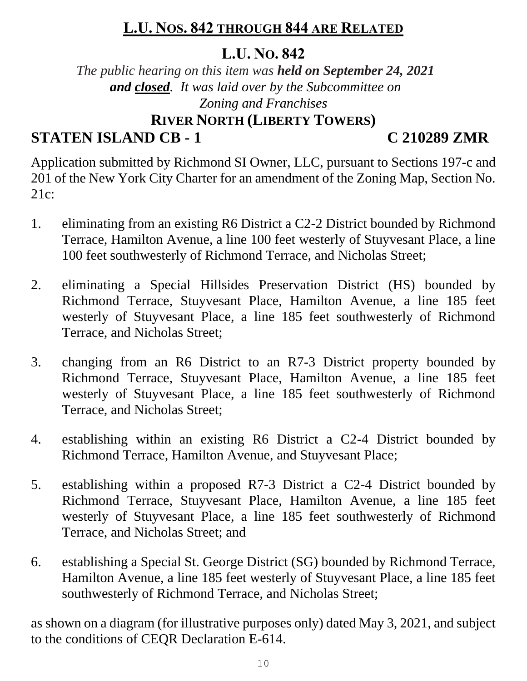## **L.U. NOS. 842 THROUGH 844 ARE RELATED**

#### **L.U. NO. 842**

*The public hearing on this item was held on September 24, 2021 and closed. It was laid over by the Subcommittee on Zoning and Franchises* **RIVER NORTH (LIBERTY TOWERS)**

**STATEN ISLAND CB - 1 C 210289 ZMR**

Application submitted by Richmond SI Owner, LLC, pursuant to Sections 197-c and 201 of the New York City Charter for an amendment of the Zoning Map, Section No. 21c:

- 1. eliminating from an existing R6 District a C2-2 District bounded by Richmond Terrace, Hamilton Avenue, a line 100 feet westerly of Stuyvesant Place, a line 100 feet southwesterly of Richmond Terrace, and Nicholas Street;
- 2. eliminating a Special Hillsides Preservation District (HS) bounded by Richmond Terrace, Stuyvesant Place, Hamilton Avenue, a line 185 feet westerly of Stuyvesant Place, a line 185 feet southwesterly of Richmond Terrace, and Nicholas Street;
- 3. changing from an R6 District to an R7-3 District property bounded by Richmond Terrace, Stuyvesant Place, Hamilton Avenue, a line 185 feet westerly of Stuyvesant Place, a line 185 feet southwesterly of Richmond Terrace, and Nicholas Street;
- 4. establishing within an existing R6 District a C2-4 District bounded by Richmond Terrace, Hamilton Avenue, and Stuyvesant Place;
- 5. establishing within a proposed R7-3 District a C2-4 District bounded by Richmond Terrace, Stuyvesant Place, Hamilton Avenue, a line 185 feet westerly of Stuyvesant Place, a line 185 feet southwesterly of Richmond Terrace, and Nicholas Street; and
- 6. establishing a Special St. George District (SG) bounded by Richmond Terrace, Hamilton Avenue, a line 185 feet westerly of Stuyvesant Place, a line 185 feet southwesterly of Richmond Terrace, and Nicholas Street;

as shown on a diagram (for illustrative purposes only) dated May 3, 2021, and subject to the conditions of CEQR Declaration E-614.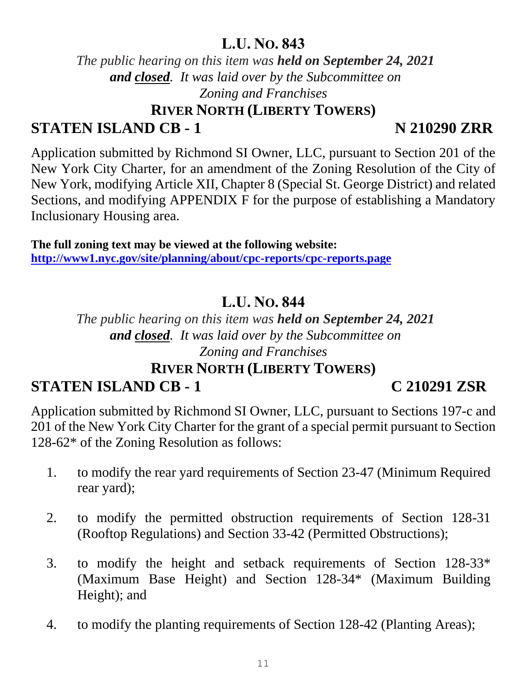*The public hearing on this item was held on September 24, 2021 and closed. It was laid over by the Subcommittee on Zoning and Franchises* **RIVER NORTH (LIBERTY TOWERS)**

# **STATEN ISLAND CB - 1 N 210290 ZRR**

Application submitted by Richmond SI Owner, LLC, pursuant to Section 201 of the New York City Charter, for an amendment of the Zoning Resolution of the City of New York, modifying Article XII, Chapter 8 (Special St. George District) and related Sections, and modifying APPENDIX F for the purpose of establishing a Mandatory Inclusionary Housing area.

**The full zoning text may be viewed at the following website: <http://www1.nyc.gov/site/planning/about/cpc-reports/cpc-reports.page>**

# **L.U. NO. 844**

### *The public hearing on this item was held on September 24, 2021 and closed. It was laid over by the Subcommittee on Zoning and Franchises*

# **RIVER NORTH (LIBERTY TOWERS)**

## **STATEN ISLAND CB - 1 C 210291 ZSR**

Application submitted by Richmond SI Owner, LLC, pursuant to Sections 197-c and 201 of the New York City Charter for the grant of a special permit pursuant to Section 128-62\* of the Zoning Resolution as follows:

- 1. to modify the rear yard requirements of Section 23-47 (Minimum Required rear yard);
- 2. to modify the permitted obstruction requirements of Section 128-31 (Rooftop Regulations) and Section 33-42 (Permitted Obstructions);
- 3. to modify the height and setback requirements of Section 128-33\* (Maximum Base Height) and Section 128-34\* (Maximum Building Height); and
- 4. to modify the planting requirements of Section 128-42 (Planting Areas);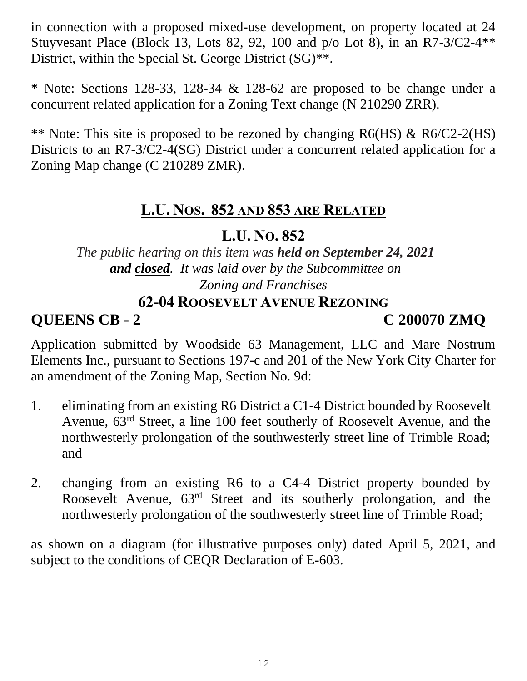in connection with a proposed mixed-use development, on property located at 24 Stuyvesant Place (Block 13, Lots 82, 92, 100 and p/o Lot 8), in an R7-3/C2-4\*\* District, within the Special St. George District (SG)<sup>\*\*</sup>.

\* Note: Sections 128-33, 128-34 & 128-62 are proposed to be change under a concurrent related application for a Zoning Text change (N 210290 ZRR).

\*\* Note: This site is proposed to be rezoned by changing R6(HS) & R6/C2-2(HS) Districts to an R7-3/C2-4(SG) District under a concurrent related application for a Zoning Map change (C 210289 ZMR).

## **L.U. NOS. 852 AND 853 ARE RELATED**

#### **L.U. NO. 852**

*The public hearing on this item was held on September 24, 2021 and closed. It was laid over by the Subcommittee on Zoning and Franchises*

#### **62-04 ROOSEVELT AVENUE REZONING**

**QUEENS CB - 2 C 200070 ZMQ**

Application submitted by Woodside 63 Management, LLC and Mare Nostrum Elements Inc., pursuant to Sections 197-c and 201 of the New York City Charter for an amendment of the Zoning Map, Section No. 9d:

- 1. eliminating from an existing R6 District a C1-4 District bounded by Roosevelt Avenue, 63rd Street, a line 100 feet southerly of Roosevelt Avenue, and the northwesterly prolongation of the southwesterly street line of Trimble Road; and
- 2. changing from an existing R6 to a C4-4 District property bounded by Roosevelt Avenue, 63rd Street and its southerly prolongation, and the northwesterly prolongation of the southwesterly street line of Trimble Road;

as shown on a diagram (for illustrative purposes only) dated April 5, 2021, and subject to the conditions of CEQR Declaration of E-603.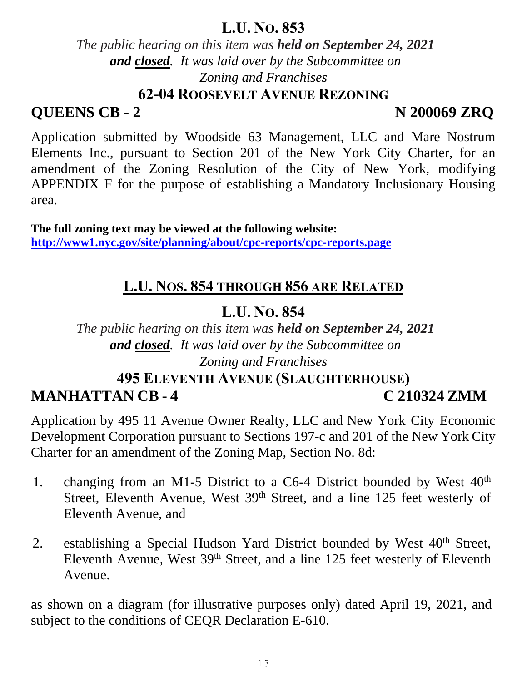*The public hearing on this item was held on September 24, 2021 and closed. It was laid over by the Subcommittee on Zoning and Franchises*

**62-04 ROOSEVELT AVENUE REZONING**

# **QUEENS CB - 2 N 200069 ZRQ**

Application submitted by Woodside 63 Management, LLC and Mare Nostrum Elements Inc., pursuant to Section 201 of the New York City Charter, for an amendment of the Zoning Resolution of the City of New York, modifying APPENDIX F for the purpose of establishing a Mandatory Inclusionary Housing area.

**The full zoning text may be viewed at the following website: <http://www1.nyc.gov/site/planning/about/cpc-reports/cpc-reports.page>**

# **L.U. NOS. 854 THROUGH 856 ARE RELATED**

# **L.U. NO. 854**

*The public hearing on this item was held on September 24, 2021 and closed. It was laid over by the Subcommittee on Zoning and Franchises*

# **495 ELEVENTH AVENUE (SLAUGHTERHOUSE) MANHATTAN CB - 4 C 210324 ZMM**

Application by 495 11 Avenue Owner Realty, LLC and New York City Economic Development Corporation pursuant to Sections 197-c and 201 of the New York City Charter for an amendment of the Zoning Map, Section No. 8d:

- 1. changing from an M1-5 District to a C6-4 District bounded by West  $40<sup>th</sup>$ Street, Eleventh Avenue, West 39<sup>th</sup> Street, and a line 125 feet westerly of Eleventh Avenue, and
- 2. establishing a Special Hudson Yard District bounded by West  $40<sup>th</sup>$  Street, Eleventh Avenue, West 39th Street, and a line 125 feet westerly of Eleventh Avenue.

as shown on a diagram (for illustrative purposes only) dated April 19, 2021, and subject to the conditions of CEQR Declaration E-610.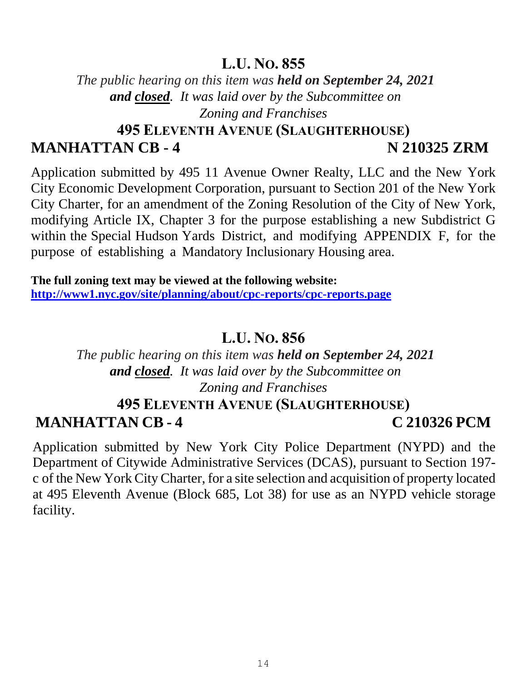*The public hearing on this item was held on September 24, 2021 and closed. It was laid over by the Subcommittee on Zoning and Franchises*

### **495 ELEVENTH AVENUE (SLAUGHTERHOUSE) MANHATTAN CB - 4 N 210325 ZRM**

Application submitted by 495 11 Avenue Owner Realty, LLC and the New York City Economic Development Corporation, pursuant to Section 201 of the New York City Charter, for an amendment of the Zoning Resolution of the City of New York, modifying Article IX, Chapter 3 for the purpose establishing a new Subdistrict G within the Special Hudson Yards District, and modifying APPENDIX F, for the purpose of establishing a Mandatory Inclusionary Housing area.

**The full zoning text may be viewed at the following website: <http://www1.nyc.gov/site/planning/about/cpc-reports/cpc-reports.page>**

#### **L.U. NO. 856**

*The public hearing on this item was held on September 24, 2021 and closed. It was laid over by the Subcommittee on Zoning and Franchises*

# **495 ELEVENTH AVENUE (SLAUGHTERHOUSE) MANHATTAN CB - 4 C 210326 PCM**

Application submitted by New York City Police Department (NYPD) and the Department of Citywide Administrative Services (DCAS), pursuant to Section 197 c of the New York City Charter, for a site selection and acquisition of property located at 495 Eleventh Avenue (Block 685, Lot 38) for use as an NYPD vehicle storage facility.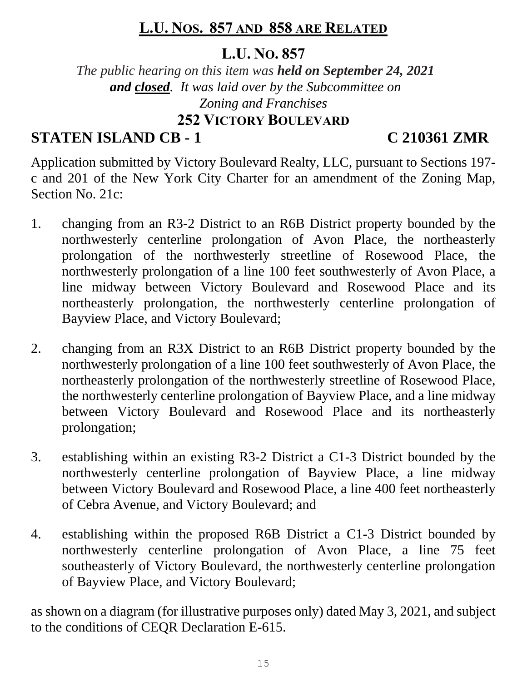## **L.U. NOS. 857 AND 858 ARE RELATED**

#### **L.U. NO. 857**

*The public hearing on this item was held on September 24, 2021 and closed. It was laid over by the Subcommittee on Zoning and Franchises* **252 VICTORY BOULEVARD**

# **STATEN ISLAND CB - 1 C 210361 ZMR**

Application submitted by Victory Boulevard Realty, LLC, pursuant to Sections 197 c and 201 of the New York City Charter for an amendment of the Zoning Map, Section No. 21c:

- 1. changing from an R3-2 District to an R6B District property bounded by the northwesterly centerline prolongation of Avon Place, the northeasterly prolongation of the northwesterly streetline of Rosewood Place, the northwesterly prolongation of a line 100 feet southwesterly of Avon Place, a line midway between Victory Boulevard and Rosewood Place and its northeasterly prolongation, the northwesterly centerline prolongation of Bayview Place, and Victory Boulevard;
- 2. changing from an R3X District to an R6B District property bounded by the northwesterly prolongation of a line 100 feet southwesterly of Avon Place, the northeasterly prolongation of the northwesterly streetline of Rosewood Place, the northwesterly centerline prolongation of Bayview Place, and a line midway between Victory Boulevard and Rosewood Place and its northeasterly prolongation;
- 3. establishing within an existing R3-2 District a C1-3 District bounded by the northwesterly centerline prolongation of Bayview Place, a line midway between Victory Boulevard and Rosewood Place, a line 400 feet northeasterly of Cebra Avenue, and Victory Boulevard; and
- 4. establishing within the proposed R6B District a C1-3 District bounded by northwesterly centerline prolongation of Avon Place, a line 75 feet southeasterly of Victory Boulevard, the northwesterly centerline prolongation of Bayview Place, and Victory Boulevard;

as shown on a diagram (for illustrative purposes only) dated May 3, 2021, and subject to the conditions of CEQR Declaration E-615.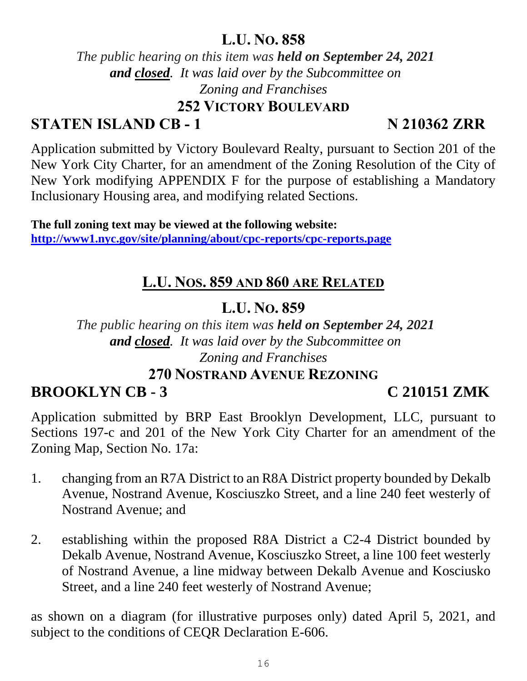*The public hearing on this item was held on September 24, 2021 and closed. It was laid over by the Subcommittee on Zoning and Franchises*

#### **252 VICTORY BOULEVARD**

# **STATEN ISLAND CB - 1** N 210362 ZRR

Application submitted by Victory Boulevard Realty, pursuant to Section 201 of the New York City Charter, for an amendment of the Zoning Resolution of the City of New York modifying APPENDIX F for the purpose of establishing a Mandatory Inclusionary Housing area, and modifying related Sections.

**The full zoning text may be viewed at the following website: <http://www1.nyc.gov/site/planning/about/cpc-reports/cpc-reports.page>**

# **L.U. NOS. 859 AND 860 ARE RELATED**

# **L.U. NO. 859**

*The public hearing on this item was held on September 24, 2021 and closed. It was laid over by the Subcommittee on Zoning and Franchises*

#### **270 NOSTRAND AVENUE REZONING**

# **BROOKLYN CB - 3 C 210151 ZMK**

Application submitted by BRP East Brooklyn Development, LLC, pursuant to Sections 197-c and 201 of the New York City Charter for an amendment of the Zoning Map, Section No. 17a:

- 1. changing from an R7A District to an R8A District property bounded by Dekalb Avenue, Nostrand Avenue, Kosciuszko Street, and a line 240 feet westerly of Nostrand Avenue; and
- 2. establishing within the proposed R8A District a C2-4 District bounded by Dekalb Avenue, Nostrand Avenue, Kosciuszko Street, a line 100 feet westerly of Nostrand Avenue, a line midway between Dekalb Avenue and Kosciusko Street, and a line 240 feet westerly of Nostrand Avenue;

as shown on a diagram (for illustrative purposes only) dated April 5, 2021, and subject to the conditions of CEQR Declaration E-606.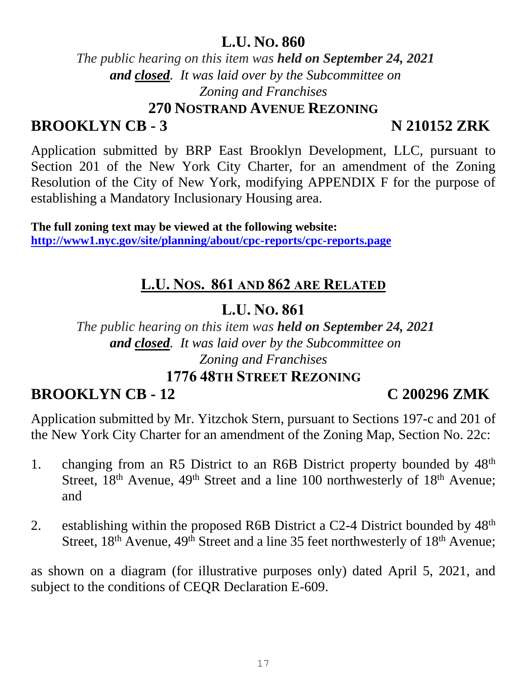*The public hearing on this item was held on September 24, 2021 and closed. It was laid over by the Subcommittee on Zoning and Franchises*

**270 NOSTRAND AVENUE REZONING**

# **BROOKLYN CB - 3 N 210152 ZRK**

Application submitted by BRP East Brooklyn Development, LLC, pursuant to Section 201 of the New York City Charter, for an amendment of the Zoning Resolution of the City of New York, modifying APPENDIX F for the purpose of establishing a Mandatory Inclusionary Housing area.

**The full zoning text may be viewed at the following website: <http://www1.nyc.gov/site/planning/about/cpc-reports/cpc-reports.page>**

# **L.U. NOS. 861 AND 862 ARE RELATED**

# **L.U. NO. 861**

*The public hearing on this item was held on September 24, 2021 and closed. It was laid over by the Subcommittee on Zoning and Franchises*

#### **1776 48TH STREET REZONING**

# **BROOKLYN CB - 12 C 200296 ZMK**

Application submitted by Mr. Yitzchok Stern, pursuant to Sections 197-c and 201 of the New York City Charter for an amendment of the Zoning Map, Section No. 22c:

- 1. changing from an R5 District to an R6B District property bounded by  $48<sup>th</sup>$ Street,  $18<sup>th</sup>$  Avenue,  $49<sup>th</sup>$  Street and a line 100 northwesterly of  $18<sup>th</sup>$  Avenue; and
- 2. establishing within the proposed R6B District a C2-4 District bounded by  $48<sup>th</sup>$ Street, 18<sup>th</sup> Avenue, 49<sup>th</sup> Street and a line 35 feet northwesterly of 18<sup>th</sup> Avenue;

as shown on a diagram (for illustrative purposes only) dated April 5, 2021, and subject to the conditions of CEQR Declaration E-609.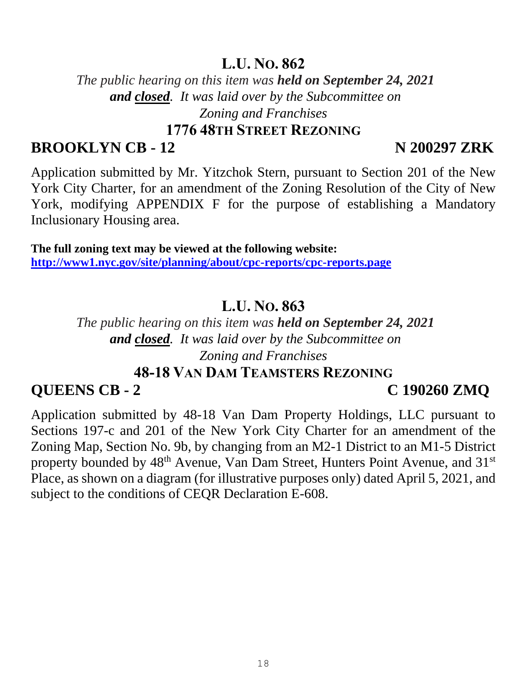*The public hearing on this item was held on September 24, 2021 and closed. It was laid over by the Subcommittee on Zoning and Franchises*

#### **1776 48TH STREET REZONING**

#### **BROOKLYN CB - 12 N 200297 ZRK**

Application submitted by Mr. Yitzchok Stern, pursuant to Section 201 of the New York City Charter, for an amendment of the Zoning Resolution of the City of New York, modifying APPENDIX F for the purpose of establishing a Mandatory Inclusionary Housing area.

**The full zoning text may be viewed at the following website: <http://www1.nyc.gov/site/planning/about/cpc-reports/cpc-reports.page>**

#### **L.U. NO. 863**

*The public hearing on this item was held on September 24, 2021 and closed. It was laid over by the Subcommittee on Zoning and Franchises*

#### **48-18 VAN DAM TEAMSTERS REZONING**

#### **QUEENS CB - 2 C 190260 ZMQ**

Application submitted by 48-18 Van Dam Property Holdings, LLC pursuant to Sections 197-c and 201 of the New York City Charter for an amendment of the Zoning Map, Section No. 9b, by changing from an M2-1 District to an M1-5 District property bounded by 48<sup>th</sup> Avenue, Van Dam Street, Hunters Point Avenue, and 31<sup>st</sup> Place, as shown on a diagram (for illustrative purposes only) dated April 5, 2021, and subject to the conditions of CEQR Declaration E-608.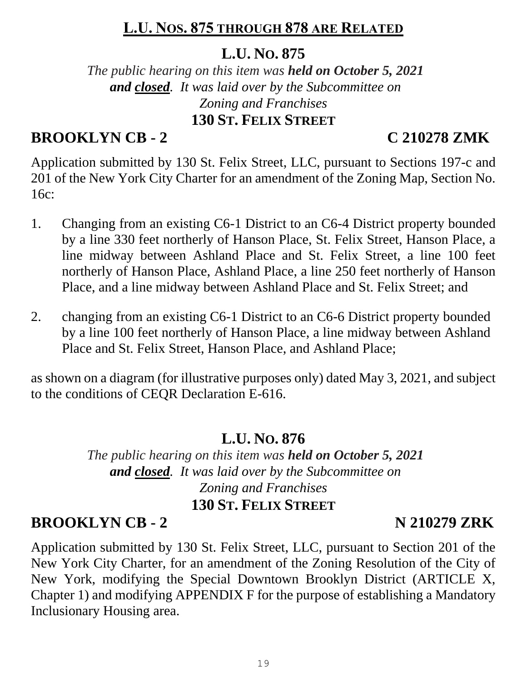### **L.U. NOS. 875 THROUGH 878 ARE RELATED**

#### **L.U. NO. 875**

*The public hearing on this item was held on October 5, 2021 and closed. It was laid over by the Subcommittee on Zoning and Franchises* **130 ST. FELIX STREET**

### **BROOKLYN CB - 2 C 210278 ZMK**

Application submitted by 130 St. Felix Street, LLC, pursuant to Sections 197-c and 201 of the New York City Charter for an amendment of the Zoning Map, Section No. 16c:

- 1. Changing from an existing C6-1 District to an C6-4 District property bounded by a line 330 feet northerly of Hanson Place, St. Felix Street, Hanson Place, a line midway between Ashland Place and St. Felix Street, a line 100 feet northerly of Hanson Place, Ashland Place, a line 250 feet northerly of Hanson Place, and a line midway between Ashland Place and St. Felix Street; and
- 2. changing from an existing C6-1 District to an C6-6 District property bounded by a line 100 feet northerly of Hanson Place, a line midway between Ashland Place and St. Felix Street, Hanson Place, and Ashland Place;

as shown on a diagram (for illustrative purposes only) dated May 3, 2021, and subject to the conditions of CEQR Declaration E-616.

#### **L.U. NO. 876**

*The public hearing on this item was held on October 5, 2021 and closed. It was laid over by the Subcommittee on Zoning and Franchises* **130 ST. FELIX STREET**

#### **BROOKLYN CB - 2 N 210279 ZRK**

Application submitted by 130 St. Felix Street, LLC, pursuant to Section 201 of the New York City Charter, for an amendment of the Zoning Resolution of the City of New York, modifying the Special Downtown Brooklyn District (ARTICLE X, Chapter 1) and modifying APPENDIX F for the purpose of establishing a Mandatory Inclusionary Housing area.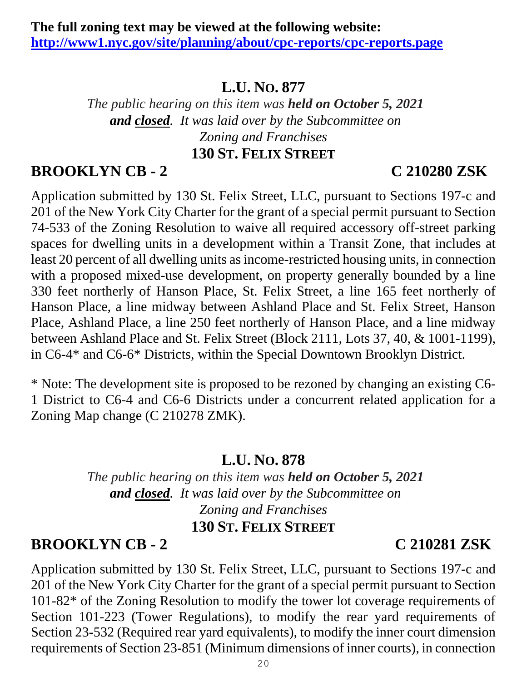*The public hearing on this item was held on October 5, 2021 and closed. It was laid over by the Subcommittee on Zoning and Franchises* **130 ST. FELIX STREET**

# **BROOKLYN CB - 2 C 210280 ZSK**

Application submitted by 130 St. Felix Street, LLC, pursuant to Sections 197-c and 201 of the New York City Charter for the grant of a special permit pursuant to Section 74-533 of the Zoning Resolution to waive all required accessory off-street parking spaces for dwelling units in a development within a Transit Zone, that includes at least 20 percent of all dwelling units as income-restricted housing units, in connection with a proposed mixed-use development, on property generally bounded by a line 330 feet northerly of Hanson Place, St. Felix Street, a line 165 feet northerly of Hanson Place, a line midway between Ashland Place and St. Felix Street, Hanson Place, Ashland Place, a line 250 feet northerly of Hanson Place, and a line midway between Ashland Place and St. Felix Street (Block 2111, Lots 37, 40, & 1001-1199), in C6-4\* and C6-6\* Districts, within the Special Downtown Brooklyn District.

\* Note: The development site is proposed to be rezoned by changing an existing C6- 1 District to C6-4 and C6-6 Districts under a concurrent related application for a Zoning Map change (C 210278 ZMK).

## **L.U. NO. 878**

*The public hearing on this item was held on October 5, 2021 and closed. It was laid over by the Subcommittee on Zoning and Franchises* **130 ST. FELIX STREET**

## **BROOKLYN CB - 2 C 210281 ZSK**

Application submitted by 130 St. Felix Street, LLC, pursuant to Sections 197-c and 201 of the New York City Charter for the grant of a special permit pursuant to Section 101-82\* of the Zoning Resolution to modify the tower lot coverage requirements of Section 101-223 (Tower Regulations), to modify the rear yard requirements of Section 23-532 (Required rear yard equivalents), to modify the inner court dimension requirements of Section 23-851 (Minimum dimensions of inner courts), in connection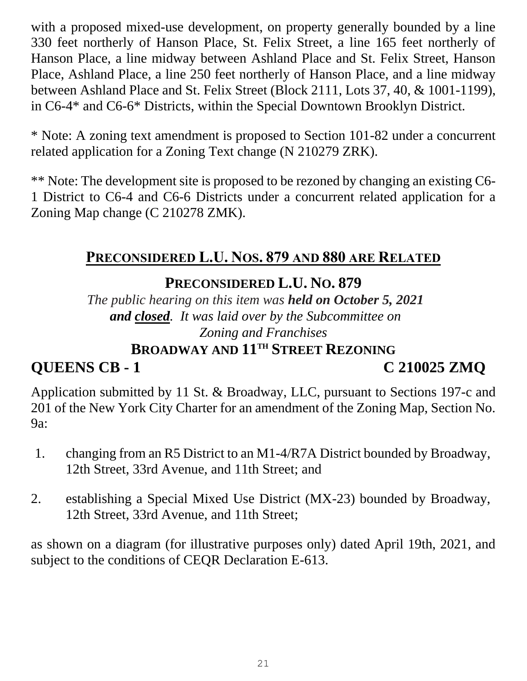with a proposed mixed-use development, on property generally bounded by a line 330 feet northerly of Hanson Place, St. Felix Street, a line 165 feet northerly of Hanson Place, a line midway between Ashland Place and St. Felix Street, Hanson Place, Ashland Place, a line 250 feet northerly of Hanson Place, and a line midway between Ashland Place and St. Felix Street (Block 2111, Lots 37, 40, & 1001-1199), in C6-4\* and C6-6\* Districts, within the Special Downtown Brooklyn District.

\* Note: A zoning text amendment is proposed to Section 101-82 under a concurrent related application for a Zoning Text change (N 210279 ZRK).

\*\* Note: The development site is proposed to be rezoned by changing an existing C6- 1 District to C6-4 and C6-6 Districts under a concurrent related application for a Zoning Map change (C 210278 ZMK).

### **PRECONSIDERED L.U. NOS. 879 AND 880 ARE RELATED**

# **PRECONSIDERED L.U. NO. 879**

*The public hearing on this item was held on October 5, 2021 and closed. It was laid over by the Subcommittee on Zoning and Franchises* **BROADWAY AND 11TH STREET REZONING**

# **QUEENS CB - 1 C 210025 ZMQ**

Application submitted by 11 St. & Broadway, LLC, pursuant to Sections 197-c and 201 of the New York City Charter for an amendment of the Zoning Map, Section No. 9a:

- 1. changing from an R5 District to an M1-4/R7A District bounded by Broadway, 12th Street, 33rd Avenue, and 11th Street; and
- 2. establishing a Special Mixed Use District (MX-23) bounded by Broadway, 12th Street, 33rd Avenue, and 11th Street;

as shown on a diagram (for illustrative purposes only) dated April 19th, 2021, and subject to the conditions of CEQR Declaration E-613.